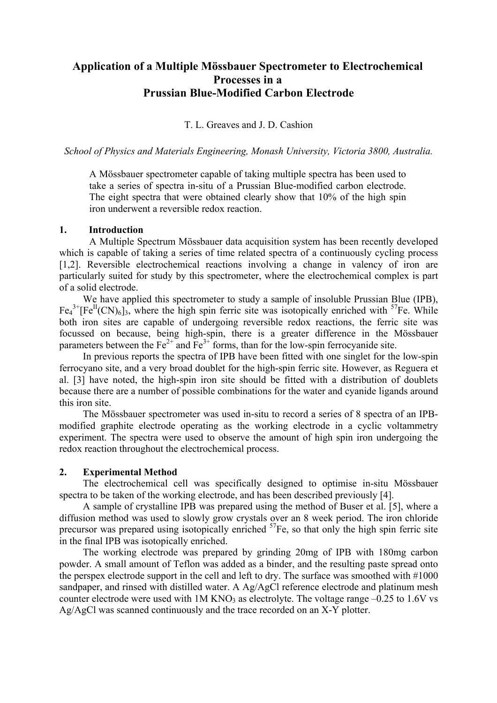# **Application of a Multiple Mössbauer Spectrometer to Electrochemical Processes in a Prussian Blue-Modified Carbon Electrode**

T. L. Greaves and J. D. Cashion

*School of Physics and Materials Engineering, Monash University, Victoria 3800, Australia.* 

A Mössbauer spectrometer capable of taking multiple spectra has been used to take a series of spectra in-situ of a Prussian Blue-modified carbon electrode. The eight spectra that were obtained clearly show that 10% of the high spin iron underwent a reversible redox reaction.

### **1. Introduction**

 A Multiple Spectrum Mössbauer data acquisition system has been recently developed which is capable of taking a series of time related spectra of a continuously cycling process [1,2]. Reversible electrochemical reactions involving a change in valency of iron are particularly suited for study by this spectrometer, where the electrochemical complex is part of a solid electrode.

We have applied this spectrometer to study a sample of insoluble Prussian Blue (IPB),  $Fe<sub>4</sub><sup>3+</sup>[Fe<sup>II</sup>(CN)<sub>6</sub>]$ <sub>3</sub>, where the high spin ferric site was isotopically enriched with <sup>57</sup>Fe. While both iron sites are capable of undergoing reversible redox reactions, the ferric site was focussed on because, being high-spin, there is a greater difference in the Mössbauer parameters between the  $Fe<sup>2+</sup>$  and  $Fe<sup>3+</sup>$  forms, than for the low-spin ferrocyanide site.

In previous reports the spectra of IPB have been fitted with one singlet for the low-spin ferrocyano site, and a very broad doublet for the high-spin ferric site. However, as Reguera et al. [3] have noted, the high-spin iron site should be fitted with a distribution of doublets because there are a number of possible combinations for the water and cyanide ligands around this iron site.

The Mössbauer spectrometer was used in-situ to record a series of 8 spectra of an IPBmodified graphite electrode operating as the working electrode in a cyclic voltammetry experiment. The spectra were used to observe the amount of high spin iron undergoing the redox reaction throughout the electrochemical process.

### **2. Experimental Method**

The electrochemical cell was specifically designed to optimise in-situ Mössbauer spectra to be taken of the working electrode, and has been described previously [4].

A sample of crystalline IPB was prepared using the method of Buser et al. [5], where a diffusion method was used to slowly grow crystals over an 8 week period. The iron chloride precursor was prepared using isotopically enriched  ${}^{57}Fe$ , so that only the high spin ferric site in the final IPB was isotopically enriched.

The working electrode was prepared by grinding 20mg of IPB with 180mg carbon powder. A small amount of Teflon was added as a binder, and the resulting paste spread onto the perspex electrode support in the cell and left to dry. The surface was smoothed with #1000 sandpaper, and rinsed with distilled water. A Ag/AgCl reference electrode and platinum mesh counter electrode were used with  $1M KNO<sub>3</sub>$  as electrolyte. The voltage range  $-0.25$  to  $1.6V$  vs Ag/AgCl was scanned continuously and the trace recorded on an X-Y plotter.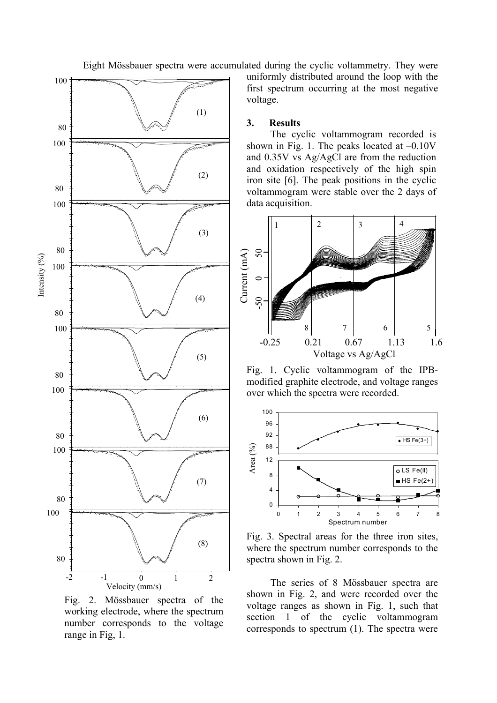Eight Mössbauer spectra were accumulated during the cyclic voltammetry. They were



Fig. 2. Mössbauer spectra of the working electrode, where the spectrum number corresponds to the voltage range in Fig, 1.

uniformly distributed around the loop with the first spectrum occurring at the most negative voltage.

#### **3. Results**

The cyclic voltammogram recorded is shown in Fig. 1. The peaks located at  $-0.10V$ and 0.35V vs Ag/AgCl are from the reduction and oxidation respectively of the high spin iron site [6]. The peak positions in the cyclic voltammogram were stable over the 2 days of data acquisition.



Fig. 1. Cyclic voltammogram of the IPBmodified graphite electrode, and voltage ranges over which the spectra were recorded.



Fig. 3. Spectral areas for the three iron sites, where the spectrum number corresponds to the spectra shown in Fig. 2.

The series of 8 Mössbauer spectra are shown in Fig. 2, and were recorded over the voltage ranges as shown in Fig. 1, such that section 1 of the cyclic voltammogram corresponds to spectrum (1). The spectra were